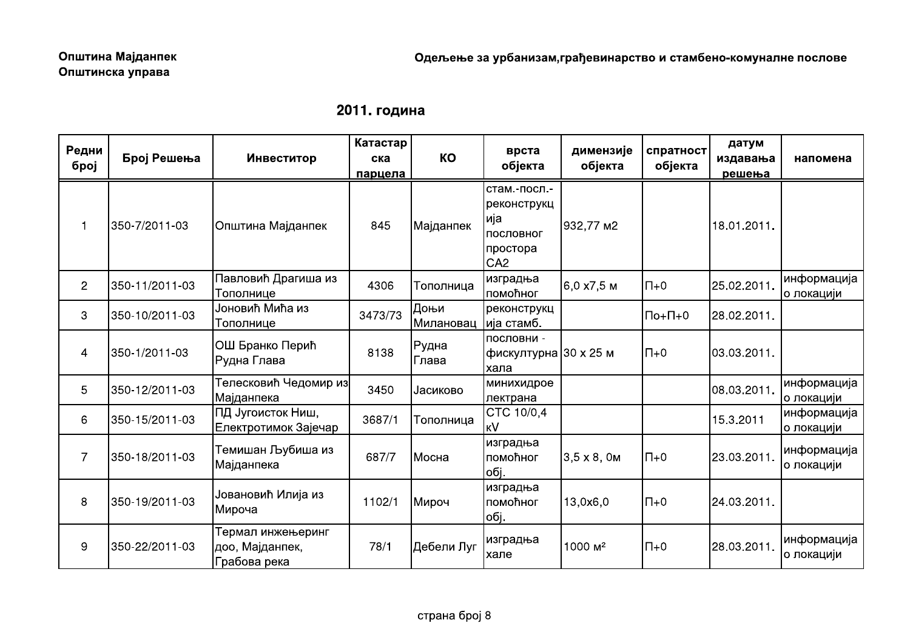|  | 2011. година |
|--|--------------|
|--|--------------|

| 2011. година   |                |                                                      |                            |                               |                                                                                 |                      |                      |                             |                           |
|----------------|----------------|------------------------------------------------------|----------------------------|-------------------------------|---------------------------------------------------------------------------------|----------------------|----------------------|-----------------------------|---------------------------|
| Редни<br>број  | Број Решења    | Инвеститор                                           | Катастар<br>ска<br>парцела | KO                            | врста<br>објекта                                                                | димензије<br>објекта | спратност<br>објекта | датум<br>издавања<br>решења | напомена                  |
| $\overline{1}$ | 350-7/2011-03  | Општина Мајданпек                                    | 845                        | Мајданпек                     | стам.-посл.-<br>реконструкц<br> ија<br>пословног<br>простора<br>CA <sub>2</sub> | 932,77 M2            |                      | 18.01.2011.                 |                           |
| $\mathbf{2}$   | 350-11/2011-03 | Павловић Драгиша из<br>Тополнице                     | 4306                       | Тополница                     | изградња<br>помоћног                                                            | 6,0 x7,5 м           | $\Pi$ +0             | 25.02.2011.                 | информација<br>о локацији |
| 3              | 350-10/2011-03 | Јоновић Мића из<br>Тополнице                         | 3473/73                    | Доњи<br>Милановац  ија стамб. | реконструкц                                                                     |                      | $\Pi$ o+ $\Pi$ +0    | 28.02.2011.                 |                           |
| 4              | 350-1/2011-03  | ОШ Бранко Перић<br>Рудна Глава                       | 8138                       | ∣Рудна<br> Глава              | пословни -<br> фискултурна  30 x 25 м<br>хала                                   |                      | $\Pi$ +0             | 03.03.2011.                 |                           |
| 5              | 350-12/2011-03 | Телесковић Чедомир из<br> Мајданпека                 | 3450                       | Јасиково                      | минихидрое<br>пектрана                                                          |                      |                      | 08.03.2011.                 | информација<br>о локацији |
| 6              | 350-15/2011-03 | ПД Југоисток Ниш,<br>Електротимок Зајечар            | 3687/1                     | Тополница                     | CTC 10/0,4<br><b>KV</b>                                                         |                      |                      | 15.3.2011                   | информација<br>о локацији |
| $\overline{7}$ | 350-18/2011-03 | Темишан Љубиша из<br>Мајданпека                      | 687/7                      | Мосна                         | изградња<br>помоћног<br>обј.                                                    | $3,5 \times 8,0 M$   | $\overline{\Pi}+0$   | 23.03.2011.                 | информација<br>о локацији |
| $\,8\,$        | 350-19/2011-03 | Јовановић Илија из<br>Мироча                         | 1102/1                     | Мироч                         | изградња<br>помоћног<br>обј.                                                    | 13,0x6,0             | $\Pi$ +0             | 24.03.2011.                 |                           |
| 9              | 350-22/2011-03 | Термал инжењеринг<br>доо, Мајданпек,<br>Грабова река | 78/1                       | Дебели Луг                    | изградња<br>хале                                                                | 1000 м <sup>2</sup>  | $\overline{\Pi}+0$   | 28.03.2011.                 | информација<br>о локацији |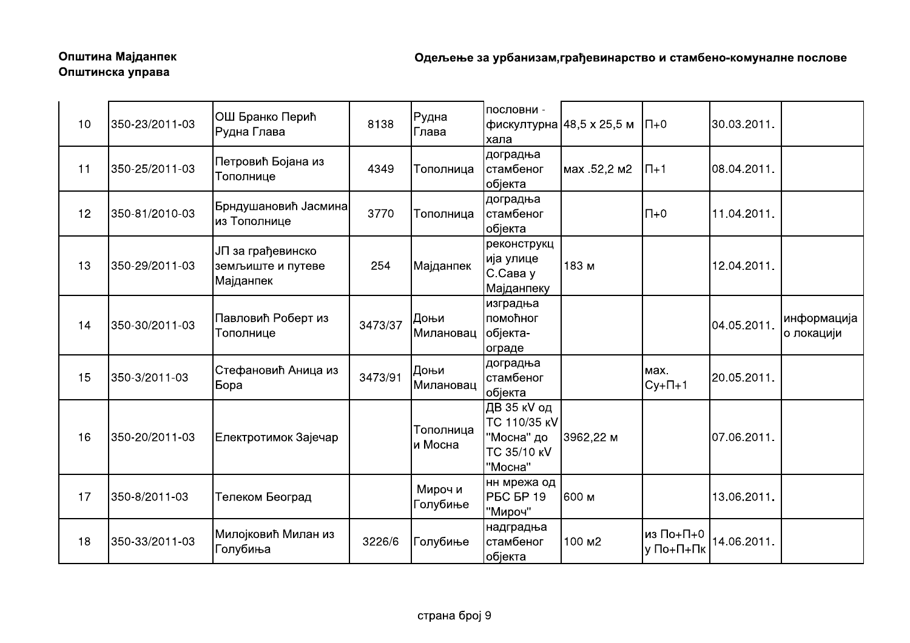| 10 | 350-23/2011-03 | ОШ Бранко Перић<br>Рудна Глава                      | 8138    | Рудна<br>Глава       | пословни -<br>хала                                                  | фискултурна  48,5 x 25,5 м   П+0 |                          | 30.03.2011. |                           |
|----|----------------|-----------------------------------------------------|---------|----------------------|---------------------------------------------------------------------|----------------------------------|--------------------------|-------------|---------------------------|
| 11 | 350-25/2011-03 | Петровић Бојана из<br>Тополнице                     | 4349    | Тополница            | доградња<br>стамбеног<br>објекта                                    | мах .52,2 м2                     | $\left  \Pi + 1 \right $ | 08.04.2011. |                           |
| 12 | 350-81/2010-03 | Брндушановић Јасмина<br>из Тополнице                | 3770    | Тополница            | доградња<br>стамбеног<br>објекта                                    |                                  | $\Pi$ +0                 | 11.04.2011. |                           |
| 13 | 350-29/2011-03 | ЈП за грађевинско<br>земљиште и путеве<br>Мајданпек | 254     | Мајданпек            | реконструкц<br>∣ија улице<br>С.Сава у<br> Мајданпеку                | 183 м                            |                          | 12.04.2011. |                           |
| 14 | 350-30/2011-03 | Павловић Роберт из<br>Тополнице                     | 3473/37 | Доњи<br>Милановац    | изградња<br>помоћног<br>објекта-<br>ограде                          |                                  |                          | 04.05.2011. | информација<br>о локацији |
| 15 | 350-3/2011-03  | Стефановић Аница из<br><b>Бора</b>                  | 3473/91 | Доњи<br>Милановац    | доградња<br>стамбеног<br>објекта                                    |                                  | Max.<br>$Cy+1+1$         | 20.05.2011. |                           |
| 16 | 350-20/2011-03 | Електротимок Зајечар                                |         | Тополница<br>и Мосна | ДВ 35 кV од<br>TC 110/35 KV<br>"Мосна" до<br>ТС 35/10 кV<br>"Мосна" | 3962,22 м                        |                          | 07.06.2011. |                           |
| 17 | 350-8/2011-03  | Телеком Београд                                     |         | Мироч и<br>Голубиње  | нн мрежа од<br><b>PEC EP 19</b><br>"Мироч"                          | 600 м                            |                          | 13.06.2011. |                           |
| 18 | 350-33/2011-03 | Милојковић Милан из<br>Голубиња                     | 3226/6  | Голубиње             | надградња<br>стамбеног<br>објекта                                   | 100 м2                           | из По+П+0<br>у По+П+Пк   | 14.06.2011. |                           |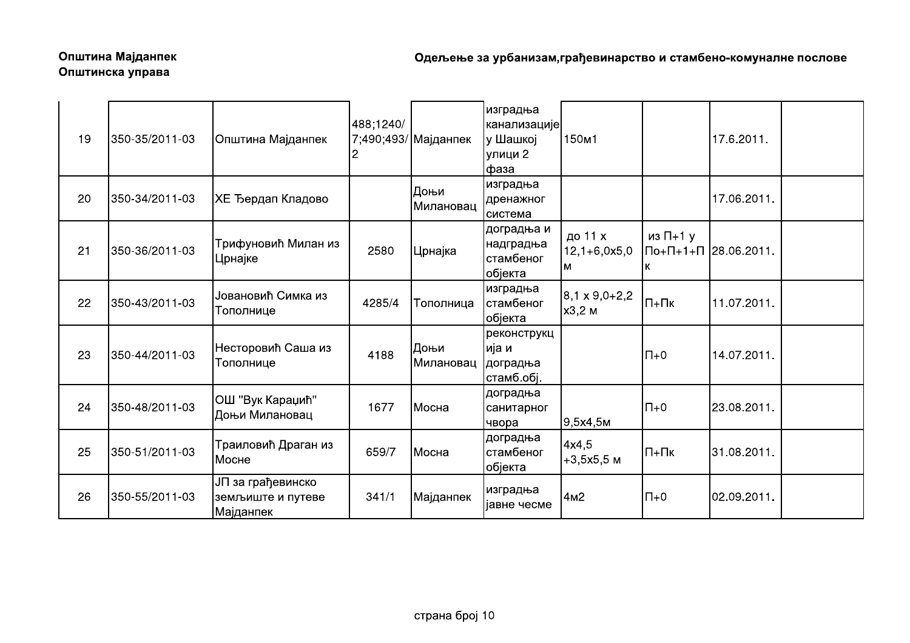| 19 | 350-35/2011-03 | Општина Мајданпек                                   | 488;1240/ | 7;490;493/ Мајданпек | изградња<br> канализације <br>у Шашкој<br>улици 2<br>фаза | 150 <sub>m1</sub>                |                            | 17.6.2011.           |  |
|----|----------------|-----------------------------------------------------|-----------|----------------------|-----------------------------------------------------------|----------------------------------|----------------------------|----------------------|--|
| 20 | 350-34/2011-03 | <b>XE Ђердап Кладово</b>                            |           | Доњи<br>Милановац    | изградња<br>дренажног<br>Ісистема                         |                                  |                            | 17.06.2011.          |  |
| 21 | 350-36/2011-03 | Трифуновић Милан из<br>Црнајке                      | 2580      | Црнајка              | доградња и<br> надградња<br>стамбеног<br>објекта          | до 11 х<br>$12,1+6,0x5,0$<br>м   | из $\Pi$ +1 у<br>К         | По+П+1+П 28.06.2011. |  |
| 22 | 350-43/2011-03 | Јовановић Симка из<br>Тополнице                     | 4285/4    | Тополница            | изградња<br>стамбеног<br>објекта                          | $8,1 \times 9,0 + 2,2$<br>х3,2 м | $\Pi$ + $\Pi$ <sub>K</sub> | 11.07.2011.          |  |
| 23 | 350-44/2011-03 | Несторовић Саша из<br>Тополнице                     | 4188      | Доњи<br>Милановац    | реконструкц<br>ија и<br>доградња<br>стамб.обј.            |                                  | $\Pi + 0$                  | 14.07.2011.          |  |
| 24 | 350-48/2011-03 | ОШ "Вук Караџић"<br>Доњи Милановац                  | 1677      | Мосна                | доградња<br>санитарног<br>чвора                           | 9,5x4,5m                         | $\Pi + 0$                  | 23.08.2011.          |  |
| 25 | 350-51/2011-03 | Траиловић Драган из<br>Мосне                        | 659/7     | Мосна                | доградња<br>стамбеног<br>објекта                          | 4x4,5<br>$+3,5x5,5$ M            | $\Pi$ + $\Pi$ <sub>K</sub> | 31.08.2011.          |  |
| 26 | 350-55/2011-03 | ЈП за грађевинско<br>земљиште и путеве<br>Мајданпек | 341/1     | Мајданпек            | изградња<br>јавне чесме                                   | 4м2                              | $\Pi + 0$                  | 02.09.2011.          |  |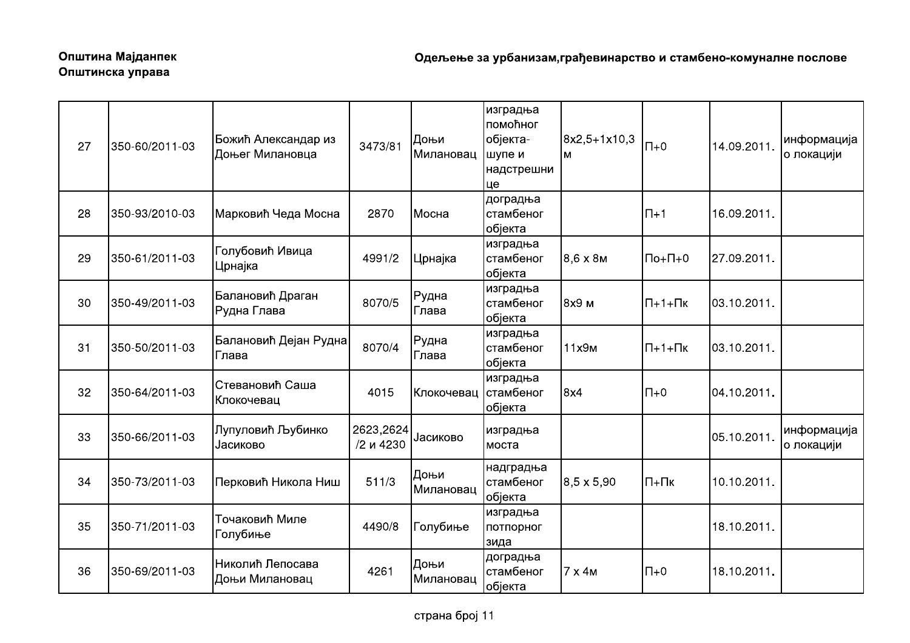| 27 | 350-60/2011-03 | Божић Александар из<br>Доњег Милановца | 3473/81                | Доњи<br>Милановац | изградња<br>помоћног<br>објекта-<br>шупе и<br>надстрешни<br>це | 8x2,5+1x10,3<br>M | $\Pi + 0$                               | 14.09.2011. | информација<br>о локацији |
|----|----------------|----------------------------------------|------------------------|-------------------|----------------------------------------------------------------|-------------------|-----------------------------------------|-------------|---------------------------|
| 28 | 350-93/2010-03 | Марковић Чеда Мосна                    | 2870                   | Мосна             | доградња<br>стамбеног<br>објекта                               |                   | $\Pi+1$                                 | 16.09.2011. |                           |
| 29 | 350-61/2011-03 | Голубовић Ивица<br>Црнајка             | 4991/2                 | Црнајка           | изградња<br>стамбеног<br>објекта                               | $8.6 \times 8M$   | $\Pi$ <sub>0+</sub> $\Pi$ <sub>+0</sub> | 27.09.2011. |                           |
| 30 | 350-49/2011-03 | Балановић Драган<br>Рудна Глава        | 8070/5                 | Рудна<br>Глава    | изградња<br>стамбеног<br>објекта                               | 8х9 м             | $\Pi$ +1+ $\Pi$ <sub>K</sub>            | 03.10.2011. |                           |
| 31 | 350-50/2011-03 | Балановић Дејан Рудна<br>Глава         | 8070/4                 | Рудна<br>Глава    | изградња<br>стамбеног<br>објекта                               | 11х9м             | $\Pi$ +1+ $\Pi$ <sub>K</sub>            | 03.10.2011. |                           |
| 32 | 350-64/2011-03 | Стевановић Саша<br>Клокочевац          | 4015                   | Клокочевац        | изградња<br>стамбеног<br>објекта                               | 8x4               | $\Pi + 0$                               | 04.10.2011. |                           |
| 33 | 350-66/2011-03 | Лупуловић Љубинко<br>Јасиково          | 2623,2624<br>/2 и 4230 | Јасиково          | изградња<br>Імоста                                             |                   |                                         | 05.10.2011. | информација<br>о локацији |
| 34 | 350-73/2011-03 | Перковић Никола Ниш                    | 511/3                  | Доњи<br>Милановац | надградња<br>стамбеног<br>објекта                              | $8,5 \times 5,90$ | $\Pi$ + $\Pi$ <sub>K</sub>              | 10.10.2011. |                           |
| 35 | 350-71/2011-03 | Точаковић Миле<br>Голубиње             | 4490/8                 | Голубиње          | изградња<br>потпорног<br>зида                                  |                   |                                         | 18.10.2011. |                           |
| 36 | 350-69/2011-03 | Николић Лепосава<br>Доњи Милановац     | 4261                   | Доњи<br>Милановац | доградња<br>стамбеног<br>објекта                               | 7 x 4 M           | $\Pi + 0$                               | 18.10.2011. |                           |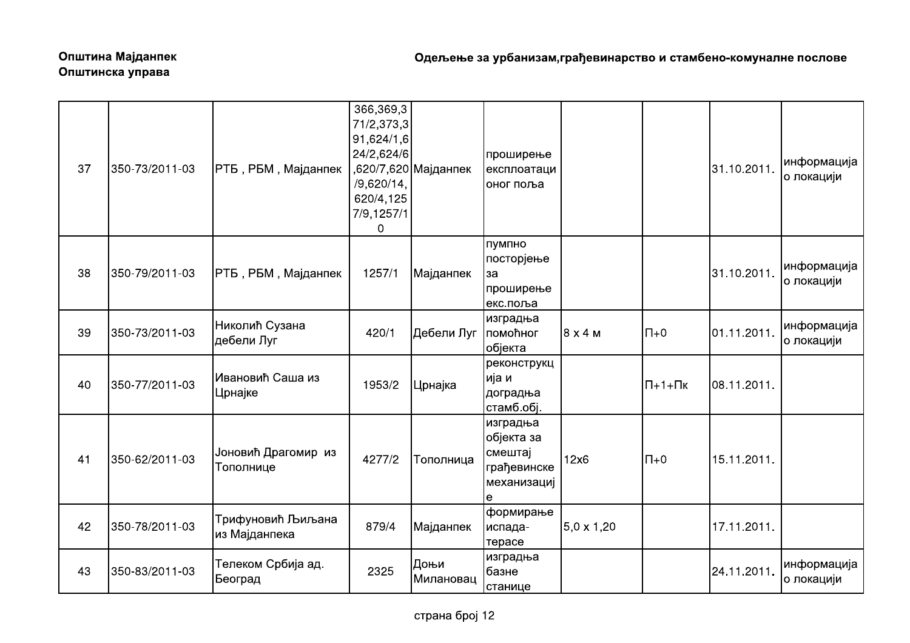| 37 | 350-73/2011-03 | РТБ, РБМ, Мајданпек                | 366,369,3<br>71/2,373,3<br>91,624/1,6<br>24/2,624/6<br>/9,620/14,<br>620/4,125<br>7/9,1257/1<br>0 | ,620/7,620 Мајданпек | проширење<br>експлоатаци<br>оног поља                                |                   |                              | 31.10.2011. | информација<br>о локацији |
|----|----------------|------------------------------------|---------------------------------------------------------------------------------------------------|----------------------|----------------------------------------------------------------------|-------------------|------------------------------|-------------|---------------------------|
| 38 | 350-79/2011-03 | PTБ , PБМ , Мајданпек              | 1257/1                                                                                            | Мајданпек            | пумпно<br>посторјење<br>lза<br>проширење<br>екс.поља                 |                   |                              | 31.10.2011. | информација<br>о локацији |
| 39 | 350-73/2011-03 | Николић Сузана<br>дебели Луг       | 420/1                                                                                             | Дебели Луг           | изградња<br>помоћног<br>објекта                                      | 8x4M              | $\Pi + 0$                    | 01.11.2011. | информација<br>о локацији |
| 40 | 350-77/2011-03 | Ивановић Саша из<br>Црнајке        | 1953/2                                                                                            | Црнајка              | реконструкц<br>ија и<br> доградња<br>стамб.обј.                      |                   | $\Pi$ +1+ $\Pi$ <sub>K</sub> | 08.11.2011. |                           |
| 41 | 350-62/2011-03 | Јоновић Драгомир из<br>Тополнице   | 4277/2                                                                                            | Тополница            | изградња<br>објекта за<br>смештај<br>грађевинске<br>механизациј<br>е | 12x6              | $\Pi + 0$                    | 15.11.2011. |                           |
| 42 | 350-78/2011-03 | Трифуновић Љиљана<br>из Мајданпека | 879/4                                                                                             | Мајданпек            | формирање<br>испада-<br>терасе                                       | $5,0 \times 1,20$ |                              | 17.11.2011. |                           |
| 43 | 350-83/2011-03 | Телеком Србија ад.<br>Београд      | 2325                                                                                              | Доњи<br> Милановац   | изградња<br>базне<br>станице                                         |                   |                              | 24.11.2011. | информација<br>о локацији |